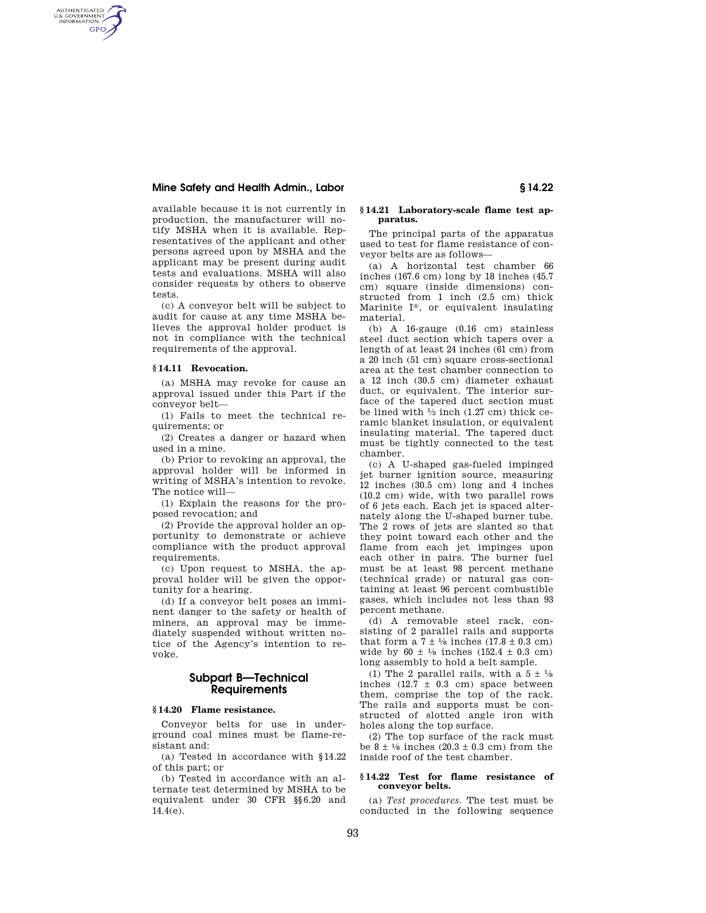# **Mine Safety and Health Admin., Labor § 14.22**

available because it is not currently in production, the manufacturer will notify MSHA when it is available. Representatives of the applicant and other persons agreed upon by MSHA and the applicant may be present during audit tests and evaluations. MSHA will also consider requests by others to observe tests.

(c) A conveyor belt will be subject to audit for cause at any time MSHA believes the approval holder product is not in compliance with the technical requirements of the approval.

# **§ 14.11 Revocation.**

AUTHENTICATED<br>U.S. GOVERNMENT<br>INFORMATION **GPO** 

> (a) MSHA may revoke for cause an approval issued under this Part if the conveyor belt—

> (1) Fails to meet the technical requirements; or

> (2) Creates a danger or hazard when used in a mine.

> (b) Prior to revoking an approval, the approval holder will be informed in writing of MSHA's intention to revoke. The notice will—

> (1) Explain the reasons for the proposed revocation; and

> (2) Provide the approval holder an opportunity to demonstrate or achieve compliance with the product approval requirements.

> (c) Upon request to MSHA, the approval holder will be given the opportunity for a hearing.

> (d) If a conveyor belt poses an imminent danger to the safety or health of miners, an approval may be immediately suspended without written notice of the Agency's intention to revoke.

# **Subpart B—Technical Requirements**

## **§ 14.20 Flame resistance.**

Conveyor belts for use in underground coal mines must be flame-resistant and:

(a) Tested in accordance with §14.22 of this part; or

(b) Tested in accordance with an alternate test determined by MSHA to be equivalent under 30 CFR §§6.20 and 14.4(e).

## **§ 14.21 Laboratory-scale flame test apparatus.**

The principal parts of the apparatus used to test for flame resistance of conveyor belts are as follows—

(a) A horizontal test chamber 66 inches (167.6 cm) long by 18 inches (45.7 cm) square (inside dimensions) constructed from 1 inch (2.5 cm) thick Marinite I®, or equivalent insulating material.

(b) A 16-gauge (0.16 cm) stainless steel duct section which tapers over a length of at least 24 inches (61 cm) from a 20 inch (51 cm) square cross-sectional area at the test chamber connection to a 12 inch (30.5 cm) diameter exhaust duct, or equivalent. The interior surface of the tapered duct section must be lined with  $\frac{1}{2}$  inch (1.27 cm) thick ceramic blanket insulation, or equivalent insulating material. The tapered duct must be tightly connected to the test chamber.

(c) A U-shaped gas-fueled impinged jet burner ignition source, measuring 12 inches (30.5 cm) long and 4 inches (10.2 cm) wide, with two parallel rows of 6 jets each. Each jet is spaced alternately along the U-shaped burner tube. The 2 rows of jets are slanted so that they point toward each other and the flame from each jet impinges upon each other in pairs. The burner fuel must be at least 98 percent methane (technical grade) or natural gas containing at least 96 percent combustible gases, which includes not less than 93 percent methane.

(d) A removable steel rack, consisting of 2 parallel rails and supports that form a  $7 \pm \frac{1}{8}$  inches  $(17.8 \pm 0.3$  cm) wide by 60  $\pm$  1/8 inches (152.4  $\pm$  0.3 cm) long assembly to hold a belt sample.

(1) The 2 parallel rails, with a  $5 \pm \frac{1}{8}$ inches  $(12.7 \pm 0.3 \text{ cm})$  space between them, comprise the top of the rack. The rails and supports must be constructed of slotted angle iron with holes along the top surface.

(2) The top surface of the rack must be  $8 \pm \frac{1}{8}$  inches  $(20.3 \pm 0.3 \text{ cm})$  from the inside roof of the test chamber.

### **§ 14.22 Test for flame resistance of conveyor belts.**

(a) *Test procedures.* The test must be conducted in the following sequence